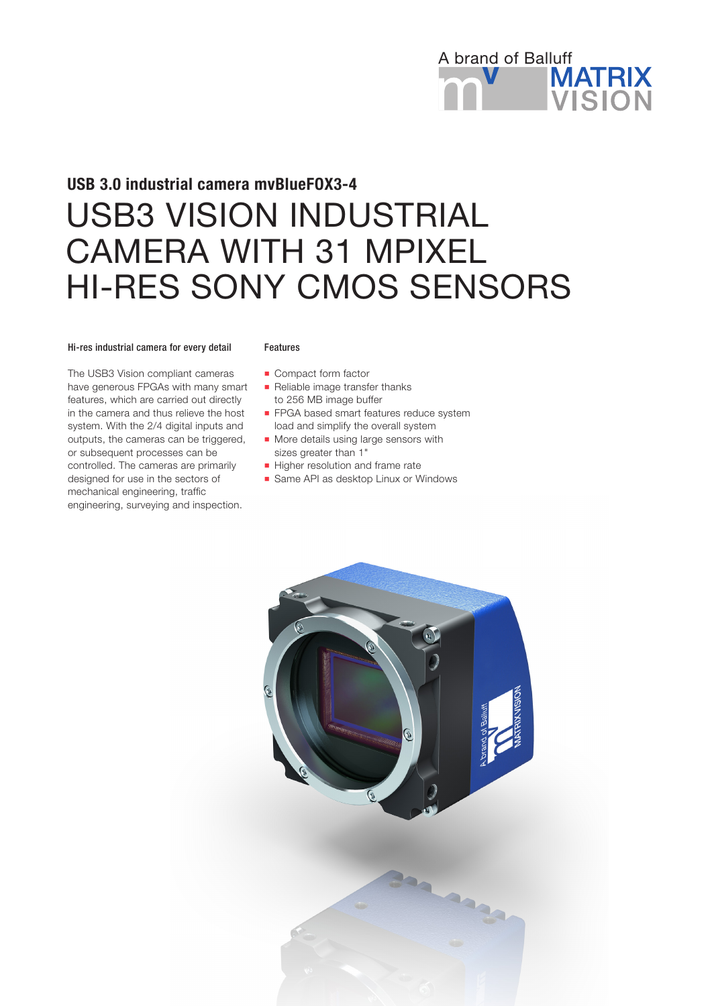

# USB3 VISION INDUSTRIAL CAMERA WITH 31 MPIXEL HI-RES SONY CMOS SENSORS USB 3.0 industrial camera mvBlueFOX3-4

#### Hi-res industrial camera for every detail

The USB3 Vision compliant cameras have generous FPGAs with many smart features, which are carried out directly in the camera and thus relieve the host system. With the 2/4 digital inputs and outputs, the cameras can be triggered, or subsequent processes can be controlled. The cameras are primarily designed for use in the sectors of mechanical engineering, traffic engineering, surveying and inspection.

#### Features

- **Compact form factor**
- Reliable image transfer thanks to 256 MB image buffer
- **FPGA based smart features reduce system** load and simplify the overall system
- **n** More details using large sensors with sizes greater than 1"
- Higher resolution and frame rate
- **n** Same API as desktop Linux or Windows